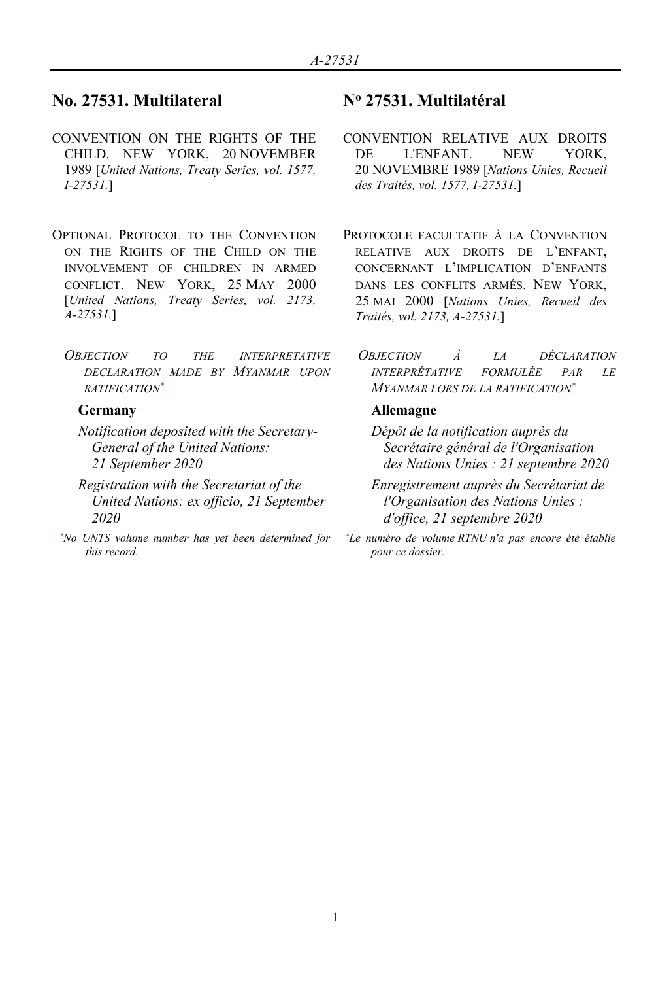# **No. 27531. Multilateral N<sup>o</sup>**

- CONVENTION ON THE RIGHTS OF THE CHILD. NEW YORK, 20 NOVEMBER 1989 [*United Nations, Treaty Series, vol. 1577, I-27531.*]
- OPTIONAL PROTOCOL TO THE CONVENTION ON THE RIGHTS OF THE CHILD ON THE INVOLVEMENT OF CHILDREN IN ARMED CONFLICT. NEW YORK, 25 MAY 2000 [*United Nations, Treaty Series, vol. 2173, A-27531.*]
	- *OBJECTION TO THE INTERPRETATIVE DECLARATION MADE BY MYANMAR UPON RATIFICATION\**

- *Notification deposited with the Secretary-General of the United Nations: 21 September 2020*
- *Registration with the Secretariat of the United Nations: ex officio, 21 September 2020*
- *\*No UNTS volume number has yet been determined for this record.*

## **27531. Multilatéral**

- CONVENTION RELATIVE AUX DROITS DE L'ENFANT. NEW YORK, 20 NOVEMBRE 1989 [*Nations Unies, Recueil des Traités, vol. 1577, I-27531.*]
- PROTOCOLE FACULTATIF À LA CONVENTION RELATIVE AUX DROITS DE L'ENFANT, CONCERNANT L'IMPLICATION D'ENFANTS DANS LES CONFLITS ARMÉS. NEW YORK, 25 MAI 2000 [*Nations Unies, Recueil des Traités, vol. 2173, A-27531.*]
	- *OBJECTION À LA DÉCLARATION INTERPRÉTATIVE FORMULÉE PAR LE MYANMAR LORS DE LA RATIFICATION\**

### **Germany Allemagne**

- *Dépôt de la notification auprès du Secrétaire général de l'Organisation des Nations Unies : 21 septembre 2020*
- *Enregistrement auprès du Secrétariat de l'Organisation des Nations Unies : d'office, 21 septembre 2020*
- *\*Le numéro de volume RTNU n'a pas encore été établie pour ce dossier.*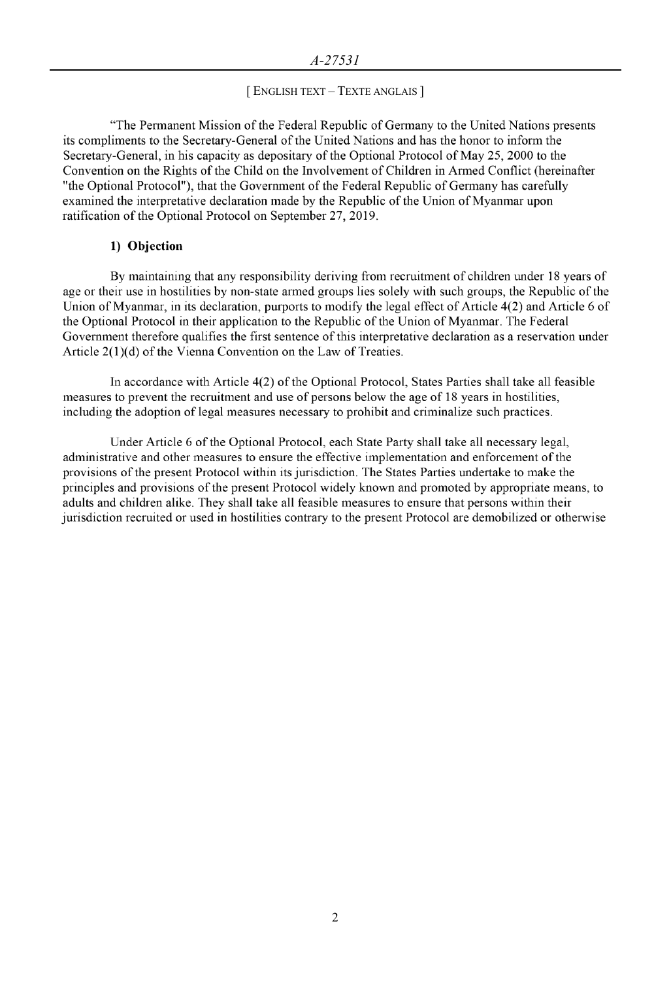#### [ENGLISH TEXT - TEXTE ANGLAIS]

"The Permanent Mission of the Federal Republic of Germany to the United Nations presents its compliments to the Secretary-General of the United Nations and has the honor to inform the Secretary-General, in his capacity as depositary of the Optional Protocol of May 25, 2000 to the Convention on the Rights of the Child on the Involvement of Children in Armed Conflict (hereinafter "the Optional Protocol"), that the Government of the Federal Republic of Germany has carefully examined the interpretative declaration made by the Republic of the Union of Myanmar upon ratification of the Optional Protocol on September 27, 2019.

#### 1) Objection

By maintaining that any responsibility deriving from recruitment of children under 18 years of age or their use in hostilities by non-state armed groups lies solely with such groups, the Republic of the Union of Myanmar, in its declaration, purports to modify the legal effect of Article 4(2) and Article 6 of the Optional Protocol in their application to the Republic of the Union of Myanmar. The Federal Government therefore qualifies the first sentence of this interpretative declaration as a reservation under Article 2(1)(d) of the Vienna Convention on the Law of Treaties.

In accordance with Article 4(2) of the Optional Protocol, States Parties shall take all feasible measures to prevent the recruitment and use of persons below the age of 18 years in hostilities, including the adoption of legal measures necessary to prohibit and criminalize such practices.

Under Article 6 of the Optional Protocol, each State Party shall take all necessary legal, administrative and other measures to ensure the effective implementation and enforcement of the provisions of the present Protocol within its jurisdiction. The States Parties undertake to make the principles and provisions of the present Protocol widely known and promoted by appropriate means, to adults and children alike. They shall take all feasible measures to ensure that persons within their jurisdiction recruited or used in hostilities contrary to the present Protocol are demobilized or otherwise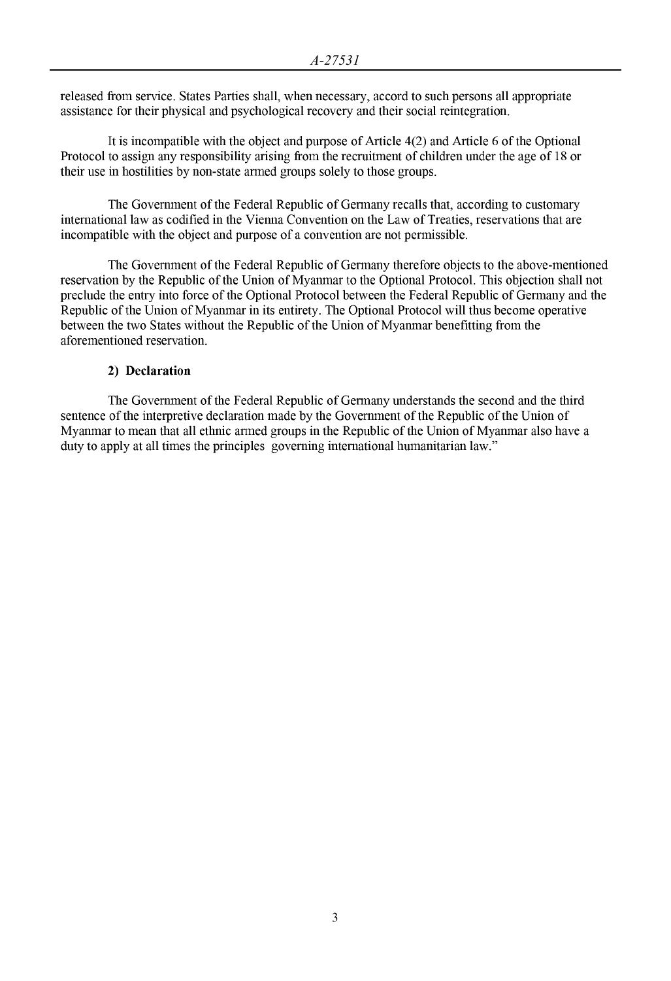released from service. States Parties shall, when necessary, accord to such persons all appropriate assistance for their physical and psychological recovery and their social reintegration.

It is incompatible with the object and purpose of Article 4(2) and Article 6 of the Optional Protocol to assign any responsibility arising from the recruitment of children under the age of 18 or their use in hostilities by non-state armed groups solely to those groups.

The Government of the Federal Republic of Germany recalls that, according to customary international law as codified in the Vienna Convention on the Law of Treaties, reservations that are incompatible with the object and purpose of a convention are not permissible.

The Government of the Federal Republic of Germany therefore objects to the above-mentioned reservation by the Republic of the Union of Myanmar to the Optional Protocol. This objection shall not preclude the entry into force of the Optional Protocol between the Federal Republic of Germany and the Republic of the Union of Myanmar in its entirety. The Optional Protocol will thus become operative between the two States without the Republic of the Union of Myanmar benefitting from the aforementioned reservation.

## 2) Declaration

The Government of the Federal Republic of Germany understands the second and the third sentence of the interpretive declaration made by the Government of the Republic of the Union of Myanmar to mean that all ethnic armed groups in the Republic of the Union of Myanmar also have a duty to apply at all times the principles governing international humanitarian law."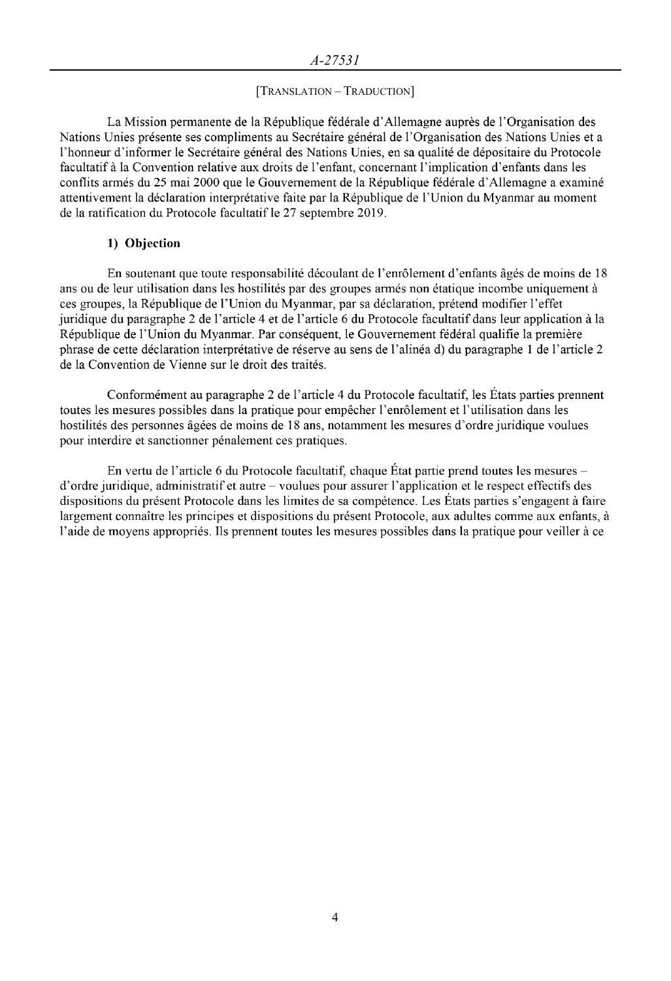#### [TRANSLATION - TRADUCTION]

La Mission permanente de la République fédérale d'Allemagne auprès de l'Organisation des Nations Unies présente ses compliments au Secrétaire général de l'Organisation des Nations Unies et a l'honneur d'informer le Secrétaire général des Nations Unies, en sa qualité de dépositaire du Protocole facultatif à la Convention relative aux droits de l'enfant, concernant l'implication d'enfants dans les conflits armés du 25 mai 2000 que le Gouvernement de la République fédérale d'Allemagne a examiné attentivement la déclaration interprétative faite par la République de l'Union du Myanmar au moment de la ratification du Protocole facultatif le 27 septembre 2019.

### 1) Objection

En soutenant que toute responsabilité découlant de l'enrôlement d'enfants âgés de moins de 18 ans ou de leur utilisation dans les hostilités par des groupes armés non étatique incombe uniquement à ces groupes, la République de l'Union du Myanmar, par sa déclaration, prétend modifier l'effet juridique du paragraphe 2 de l'article 4 et de l'article 6 du Protocole facultatif dans leur application à la République de l'Union du Myanmar. Par conséquent, le Gouvernement fédéral qualifie la première phrase de cette déclaration interprétative de réserve au sens de l'alinéa d) du paragraphe 1 de l'article 2 de la Convention de Vienne sur le droit des traités.

Conformément au paragraphe 2 de l'article 4 du Protocole facultatif, les États parties prennent toutes les mesures possibles dans la pratique pour empêcher l'enrôlement et l'utilisation dans les hostilités des personnes âgées de moins de 18 ans, notamment les mesures d'ordre juridique voulues pour interdire et sanctionner pénalement ces pratiques.

En vertu de l'article 6 du Protocole facultatif, chaque État partie prend toutes les mesures – d'ordre juridique, administratif et autre – voulues pour assurer l'application et le respect effectifs des dispositions du présent Protocole dans les limites de sa compétence. Les États parties s'engagent à faire largement connaître les principes et dispositions du présent Protocole, aux adultes comme aux enfants, à l'aide de moyens appropriés. Ils prennent toutes les mesures possibles dans la pratique pour veiller à ce